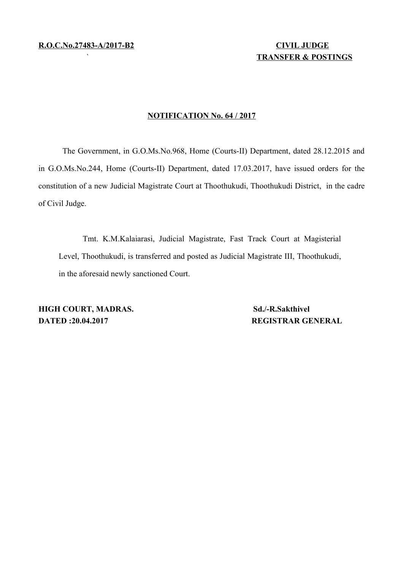# ` **TRANSFER & POSTINGS**

#### **NOTIFICATION No. 64 / 2017**

The Government, in G.O.Ms.No.968, Home (Courts-II) Department, dated 28.12.2015 and in G.O.Ms.No.244, Home (Courts-II) Department, dated 17.03.2017, have issued orders for the constitution of a new Judicial Magistrate Court at Thoothukudi, Thoothukudi District, in the cadre of Civil Judge.

Tmt. K.M.Kalaiarasi, Judicial Magistrate, Fast Track Court at Magisterial Level, Thoothukudi, is transferred and posted as Judicial Magistrate III, Thoothukudi, in the aforesaid newly sanctioned Court.

**HIGH COURT, MADRAS.** Sd./-R.Sakthivel **DATED :20.04.2017 REGISTRAR GENERAL**